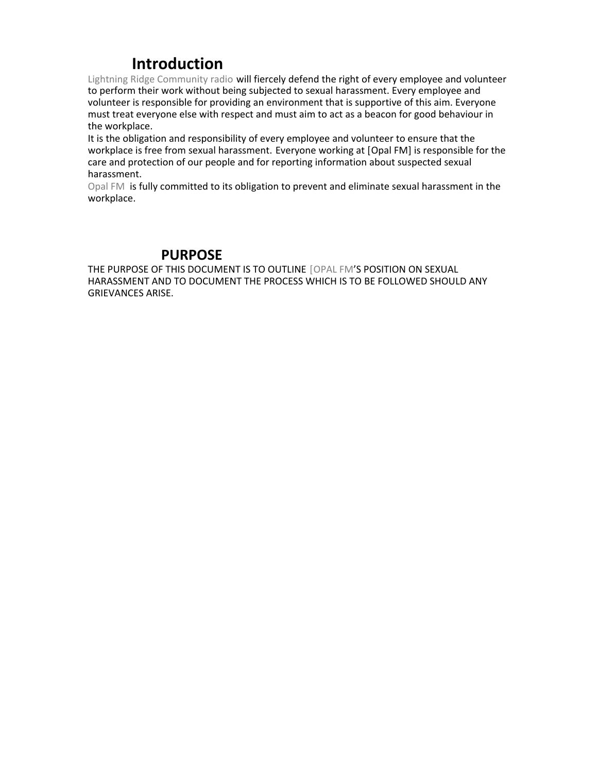# **Introduction**

Lightning Ridge Community radio will fiercely defend the right of every employee and volunteer to perform their work without being subjected to sexual harassment. Every employee and volunteer is responsible for providing an environment that is supportive of this aim. Everyone must treat everyone else with respect and must aim to act as a beacon for good behaviour in the workplace.

It is the obligation and responsibility of every employee and volunteer to ensure that the workplace is free from sexual harassment. Everyone working at [Opal FM] is responsible for the care and protection of our people and for reporting information about suspected sexual harassment.

Opal FM is fully committed to its obligation to prevent and eliminate sexual harassment in the workplace.

#### **PURPOSE**

THE PURPOSE OF THIS DOCUMENT IS TO OUTLINE [OPAL FM'S POSITION ON SEXUAL HARASSMENT AND TO DOCUMENT THE PROCESS WHICH IS TO BE FOLLOWED SHOULD ANY GRIEVANCES ARISE.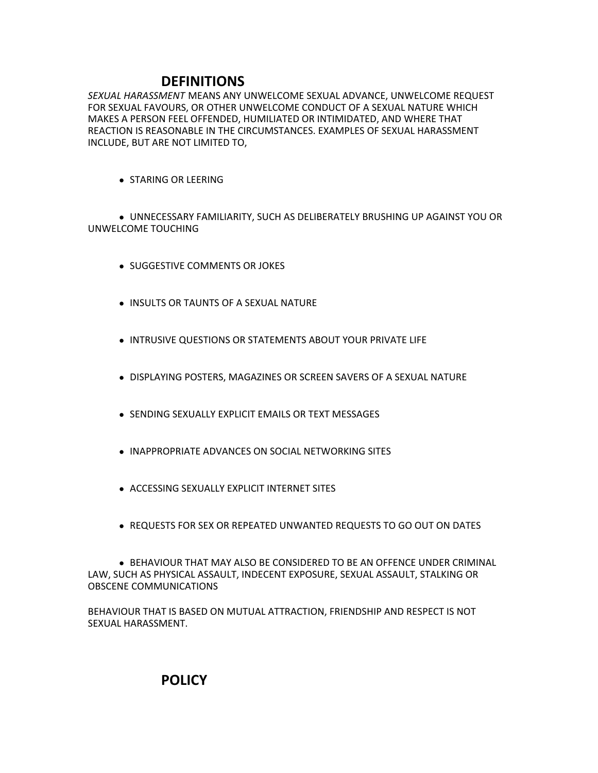## **DEFINITIONS**

*SEXUAL HARASSMENT* MEANS ANY UNWELCOME SEXUAL ADVANCE, UNWELCOME REQUEST FOR SEXUAL FAVOURS, OR OTHER UNWELCOME CONDUCT OF A SEXUAL NATURE WHICH MAKES A PERSON FEEL OFFENDED, HUMILIATED OR INTIMIDATED, AND WHERE THAT REACTION IS REASONABLE IN THE CIRCUMSTANCES. EXAMPLES OF SEXUAL HARASSMENT INCLUDE, BUT ARE NOT LIMITED TO,

**STARING OR LEERING** 

 UNNECESSARY FAMILIARITY, SUCH AS DELIBERATELY BRUSHING UP AGAINST YOU OR UNWELCOME TOUCHING

- **.** SUGGESTIVE COMMENTS OR JOKES
- **. INSULTS OR TAUNTS OF A SEXUAL NATURE**
- **INTRUSIVE QUESTIONS OR STATEMENTS ABOUT YOUR PRIVATE LIFE**
- **.** DISPLAYING POSTERS, MAGAZINES OR SCREEN SAVERS OF A SEXUAL NATURE
- SENDING SEXUALLY EXPLICIT EMAILS OR TEXT MESSAGES
- INAPPROPRIATE ADVANCES ON SOCIAL NETWORKING SITES
- ACCESSING SEXUALLY EXPLICIT INTERNET SITES
- REQUESTS FOR SEX OR REPEATED UNWANTED REQUESTS TO GO OUT ON DATES

**• BEHAVIOUR THAT MAY ALSO BE CONSIDERED TO BE AN OFFENCE UNDER CRIMINAL** LAW, SUCH AS PHYSICAL ASSAULT, INDECENT EXPOSURE, SEXUAL ASSAULT, STALKING OR OBSCENE COMMUNICATIONS

BEHAVIOUR THAT IS BASED ON MUTUAL ATTRACTION, FRIENDSHIP AND RESPECT IS NOT SEXUAL HARASSMENT.

 **POLICY**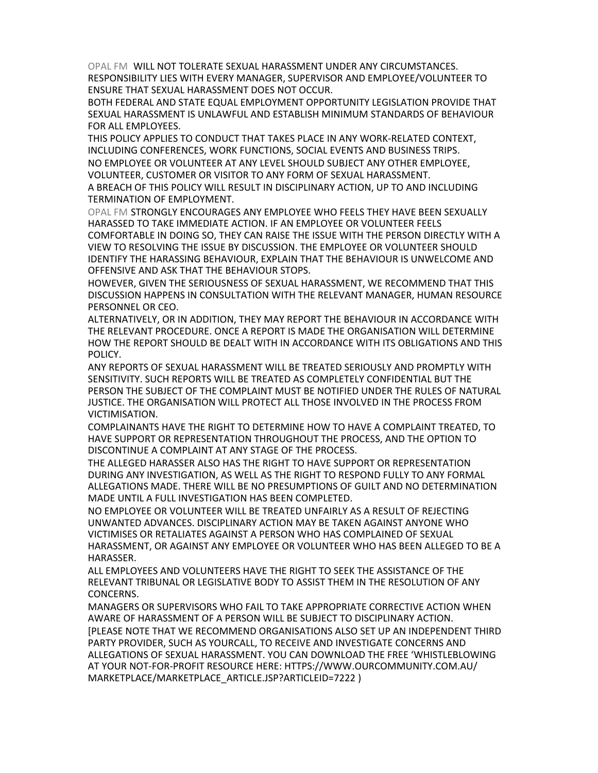OPAL FM WILL NOT TOLERATE SEXUAL HARASSMENT UNDER ANY CIRCUMSTANCES. RESPONSIBILITY LIES WITH EVERY MANAGER, SUPERVISOR AND EMPLOYEE/VOLUNTEER TO ENSURE THAT SEXUAL HARASSMENT DOES NOT OCCUR.

BOTH FEDERAL AND STATE EQUAL EMPLOYMENT OPPORTUNITY LEGISLATION PROVIDE THAT SEXUAL HARASSMENT IS UNLAWFUL AND ESTABLISH MINIMUM STANDARDS OF BEHAVIOUR FOR ALL EMPLOYEES.

THIS POLICY APPLIES TO CONDUCT THAT TAKES PLACE IN ANY WORK-RELATED CONTEXT, INCLUDING CONFERENCES, WORK FUNCTIONS, SOCIAL EVENTS AND BUSINESS TRIPS. NO EMPLOYEE OR VOLUNTEER AT ANY LEVEL SHOULD SUBJECT ANY OTHER EMPLOYEE, VOLUNTEER, CUSTOMER OR VISITOR TO ANY FORM OF SEXUAL HARASSMENT.

A BREACH OF THIS POLICY WILL RESULT IN DISCIPLINARY ACTION, UP TO AND INCLUDING TERMINATION OF EMPLOYMENT.

OPAL FM STRONGLY ENCOURAGES ANY EMPLOYEE WHO FEELS THEY HAVE BEEN SEXUALLY HARASSED TO TAKE IMMEDIATE ACTION. IF AN EMPLOYEE OR VOLUNTEER FEELS COMFORTABLE IN DOING SO, THEY CAN RAISE THE ISSUE WITH THE PERSON DIRECTLY WITH A VIEW TO RESOLVING THE ISSUE BY DISCUSSION. THE EMPLOYEE OR VOLUNTEER SHOULD IDENTIFY THE HARASSING BEHAVIOUR, EXPLAIN THAT THE BEHAVIOUR IS UNWELCOME AND OFFENSIVE AND ASK THAT THE BEHAVIOUR STOPS.

HOWEVER, GIVEN THE SERIOUSNESS OF SEXUAL HARASSMENT, WE RECOMMEND THAT THIS DISCUSSION HAPPENS IN CONSULTATION WITH THE RELEVANT MANAGER, HUMAN RESOURCE PERSONNEL OR CEO.

ALTERNATIVELY, OR IN ADDITION, THEY MAY REPORT THE BEHAVIOUR IN ACCORDANCE WITH THE RELEVANT PROCEDURE. ONCE A REPORT IS MADE THE ORGANISATION WILL DETERMINE HOW THE REPORT SHOULD BE DEALT WITH IN ACCORDANCE WITH ITS OBLIGATIONS AND THIS POLICY.

ANY REPORTS OF SEXUAL HARASSMENT WILL BE TREATED SERIOUSLY AND PROMPTLY WITH SENSITIVITY. SUCH REPORTS WILL BE TREATED AS COMPLETELY CONFIDENTIAL BUT THE PERSON THE SUBJECT OF THE COMPLAINT MUST BE NOTIFIED UNDER THE RULES OF NATURAL JUSTICE. THE ORGANISATION WILL PROTECT ALL THOSE INVOLVED IN THE PROCESS FROM VICTIMISATION.

COMPLAINANTS HAVE THE RIGHT TO DETERMINE HOW TO HAVE A COMPLAINT TREATED, TO HAVE SUPPORT OR REPRESENTATION THROUGHOUT THE PROCESS, AND THE OPTION TO DISCONTINUE A COMPLAINT AT ANY STAGE OF THE PROCESS.

THE ALLEGED HARASSER ALSO HAS THE RIGHT TO HAVE SUPPORT OR REPRESENTATION DURING ANY INVESTIGATION, AS WELL AS THE RIGHT TO RESPOND FULLY TO ANY FORMAL ALLEGATIONS MADE. THERE WILL BE NO PRESUMPTIONS OF GUILT AND NO DETERMINATION MADE UNTIL A FULL INVESTIGATION HAS BEEN COMPLETED.

NO EMPLOYEE OR VOLUNTEER WILL BE TREATED UNFAIRLY AS A RESULT OF REJECTING UNWANTED ADVANCES. DISCIPLINARY ACTION MAY BE TAKEN AGAINST ANYONE WHO VICTIMISES OR RETALIATES AGAINST A PERSON WHO HAS COMPLAINED OF SEXUAL HARASSMENT, OR AGAINST ANY EMPLOYEE OR VOLUNTEER WHO HAS BEEN ALLEGED TO BE A HARASSER.

ALL EMPLOYEES AND VOLUNTEERS HAVE THE RIGHT TO SEEK THE ASSISTANCE OF THE RELEVANT TRIBUNAL OR LEGISLATIVE BODY TO ASSIST THEM IN THE RESOLUTION OF ANY CONCERNS.

MANAGERS OR SUPERVISORS WHO FAIL TO TAKE APPROPRIATE CORRECTIVE ACTION WHEN AWARE OF HARASSMENT OF A PERSON WILL BE SUBJECT TO DISCIPLINARY ACTION. [PLEASE NOTE THAT WE RECOMMEND ORGANISATIONS ALSO SET UP AN INDEPENDENT THIRD PARTY PROVIDER, SUCH AS YOURCALL, TO RECEIVE AND INVESTIGATE CONCERNS AND ALLEGATIONS OF SEXUAL HARASSMENT. YOU CAN DOWNLOAD THE FREE 'WHISTLEBLOWING AT YOUR NOT-FOR-PROFIT RESOURCE HERE: HTTPS://WWW.OURCOMMUNITY.COM.AU/ MARKETPLACE/MARKETPLACE\_ARTICLE.JSP?ARTICLEID=7222 )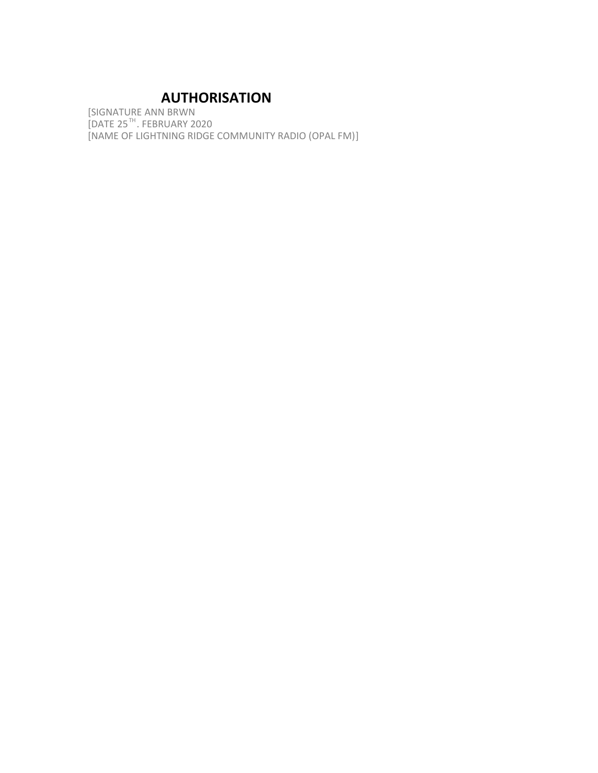# **AUTHORISATION**

[SIGNATURE ANN BRWN [DATE 25TH. FEBRUARY 2020 [NAME OF LIGHTNING RIDGE COMMUNITY RADIO (OPAL FM)]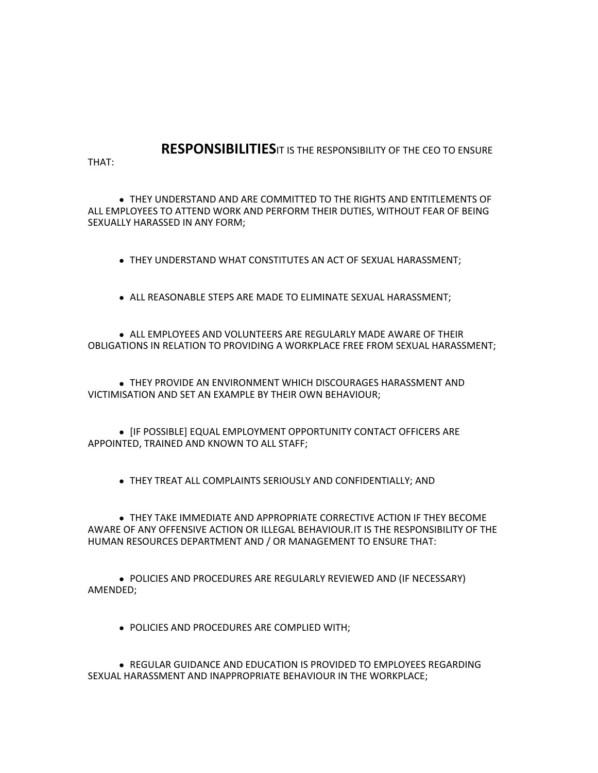# **RESPONSIBILITIES**IT IS THE RESPONSIBILITY OF THE CEO TO ENSURE

THAT:

 THEY UNDERSTAND AND ARE COMMITTED TO THE RIGHTS AND ENTITLEMENTS OF ALL EMPLOYEES TO ATTEND WORK AND PERFORM THEIR DUTIES, WITHOUT FEAR OF BEING SEXUALLY HARASSED IN ANY FORM;

THEY UNDERSTAND WHAT CONSTITUTES AN ACT OF SEXUAL HARASSMENT;

• ALL REASONABLE STEPS ARE MADE TO ELIMINATE SEXUAL HARASSMENT;

**• ALL EMPLOYEES AND VOLUNTEERS ARE REGULARLY MADE AWARE OF THEIR** OBLIGATIONS IN RELATION TO PROVIDING A WORKPLACE FREE FROM SEXUAL HARASSMENT;

 THEY PROVIDE AN ENVIRONMENT WHICH DISCOURAGES HARASSMENT AND VICTIMISATION AND SET AN EXAMPLE BY THEIR OWN BEHAVIOUR;

• [IF POSSIBLE] EQUAL EMPLOYMENT OPPORTUNITY CONTACT OFFICERS ARE APPOINTED, TRAINED AND KNOWN TO ALL STAFF;

THEY TREAT ALL COMPLAINTS SERIOUSLY AND CONFIDENTIALLY; AND

 THEY TAKE IMMEDIATE AND APPROPRIATE CORRECTIVE ACTION IF THEY BECOME AWARE OF ANY OFFENSIVE ACTION OR ILLEGAL BEHAVIOUR.IT IS THE RESPONSIBILITY OF THE HUMAN RESOURCES DEPARTMENT AND / OR MANAGEMENT TO ENSURE THAT:

 POLICIES AND PROCEDURES ARE REGULARLY REVIEWED AND (IF NECESSARY) AMENDED;

POLICIES AND PROCEDURES ARE COMPLIED WITH;

 REGULAR GUIDANCE AND EDUCATION IS PROVIDED TO EMPLOYEES REGARDING SEXUAL HARASSMENT AND INAPPROPRIATE BEHAVIOUR IN THE WORKPLACE;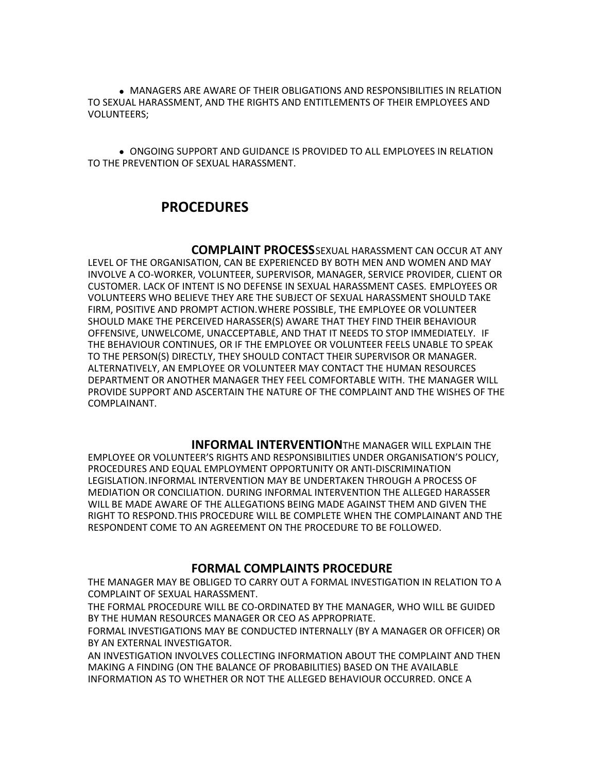MANAGERS ARE AWARE OF THEIR OBLIGATIONS AND RESPONSIBILITIES IN RELATION TO SEXUAL HARASSMENT, AND THE RIGHTS AND ENTITLEMENTS OF THEIR EMPLOYEES AND VOLUNTEERS;

 ONGOING SUPPORT AND GUIDANCE IS PROVIDED TO ALL EMPLOYEES IN RELATION TO THE PREVENTION OF SEXUAL HARASSMENT.

#### **PROCEDURES**

 **COMPLAINT PROCESS**SEXUAL HARASSMENT CAN OCCUR AT ANY LEVEL OF THE ORGANISATION, CAN BE EXPERIENCED BY BOTH MEN AND WOMEN AND MAY INVOLVE A CO-WORKER, VOLUNTEER, SUPERVISOR, MANAGER, SERVICE PROVIDER, CLIENT OR CUSTOMER. LACK OF INTENT IS NO DEFENSE IN SEXUAL HARASSMENT CASES. EMPLOYEES OR VOLUNTEERS WHO BELIEVE THEY ARE THE SUBJECT OF SEXUAL HARASSMENT SHOULD TAKE FIRM, POSITIVE AND PROMPT ACTION.WHERE POSSIBLE, THE EMPLOYEE OR VOLUNTEER SHOULD MAKE THE PERCEIVED HARASSER(S) AWARE THAT THEY FIND THEIR BEHAVIOUR OFFENSIVE, UNWELCOME, UNACCEPTABLE, AND THAT IT NEEDS TO STOP IMMEDIATELY. IF THE BEHAVIOUR CONTINUES, OR IF THE EMPLOYEE OR VOLUNTEER FEELS UNABLE TO SPEAK TO THE PERSON(S) DIRECTLY, THEY SHOULD CONTACT THEIR SUPERVISOR OR MANAGER. ALTERNATIVELY, AN EMPLOYEE OR VOLUNTEER MAY CONTACT THE HUMAN RESOURCES DEPARTMENT OR ANOTHER MANAGER THEY FEEL COMFORTABLE WITH. THE MANAGER WILL PROVIDE SUPPORT AND ASCERTAIN THE NATURE OF THE COMPLAINT AND THE WISHES OF THE COMPLAINANT.

 **INFORMAL INTERVENTION**THE MANAGER WILL EXPLAIN THE EMPLOYEE OR VOLUNTEER'S RIGHTS AND RESPONSIBILITIES UNDER ORGANISATION'S POLICY, PROCEDURES AND EQUAL EMPLOYMENT OPPORTUNITY OR ANTI-DISCRIMINATION LEGISLATION.INFORMAL INTERVENTION MAY BE UNDERTAKEN THROUGH A PROCESS OF MEDIATION OR CONCILIATION. DURING INFORMAL INTERVENTION THE ALLEGED HARASSER WILL BE MADE AWARE OF THE ALLEGATIONS BEING MADE AGAINST THEM AND GIVEN THE RIGHT TO RESPOND.THIS PROCEDURE WILL BE COMPLETE WHEN THE COMPLAINANT AND THE RESPONDENT COME TO AN AGREEMENT ON THE PROCEDURE TO BE FOLLOWED.

#### **FORMAL COMPLAINTS PROCEDURE**

THE MANAGER MAY BE OBLIGED TO CARRY OUT A FORMAL INVESTIGATION IN RELATION TO A COMPLAINT OF SEXUAL HARASSMENT.

THE FORMAL PROCEDURE WILL BE CO-ORDINATED BY THE MANAGER, WHO WILL BE GUIDED BY THE HUMAN RESOURCES MANAGER OR CEO AS APPROPRIATE.

FORMAL INVESTIGATIONS MAY BE CONDUCTED INTERNALLY (BY A MANAGER OR OFFICER) OR BY AN EXTERNAL INVESTIGATOR.

AN INVESTIGATION INVOLVES COLLECTING INFORMATION ABOUT THE COMPLAINT AND THEN MAKING A FINDING (ON THE BALANCE OF PROBABILITIES) BASED ON THE AVAILABLE INFORMATION AS TO WHETHER OR NOT THE ALLEGED BEHAVIOUR OCCURRED. ONCE A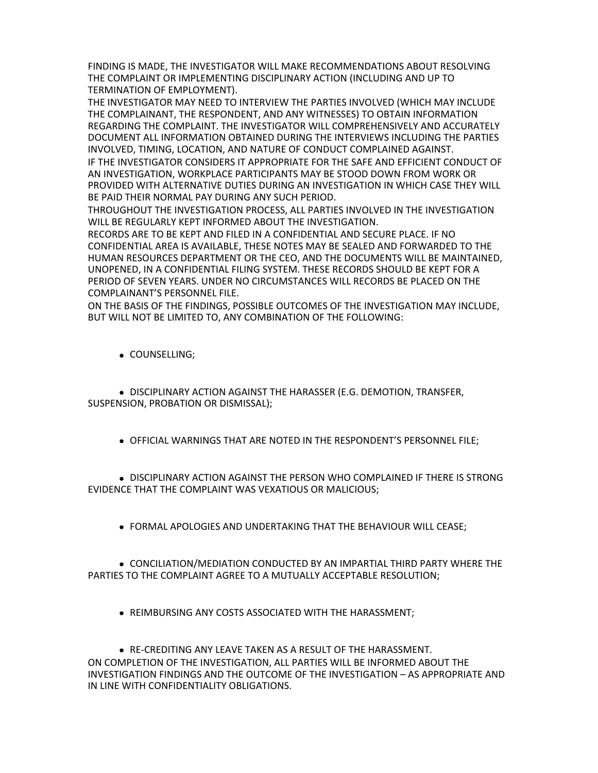FINDING IS MADE, THE INVESTIGATOR WILL MAKE RECOMMENDATIONS ABOUT RESOLVING THE COMPLAINT OR IMPLEMENTING DISCIPLINARY ACTION (INCLUDING AND UP TO TERMINATION OF EMPLOYMENT).

THE INVESTIGATOR MAY NEED TO INTERVIEW THE PARTIES INVOLVED (WHICH MAY INCLUDE THE COMPLAINANT, THE RESPONDENT, AND ANY WITNESSES) TO OBTAIN INFORMATION REGARDING THE COMPLAINT. THE INVESTIGATOR WILL COMPREHENSIVELY AND ACCURATELY DOCUMENT ALL INFORMATION OBTAINED DURING THE INTERVIEWS INCLUDING THE PARTIES INVOLVED, TIMING, LOCATION, AND NATURE OF CONDUCT COMPLAINED AGAINST. IF THE INVESTIGATOR CONSIDERS IT APPROPRIATE FOR THE SAFE AND EFFICIENT CONDUCT OF AN INVESTIGATION, WORKPLACE PARTICIPANTS MAY BE STOOD DOWN FROM WORK OR

PROVIDED WITH ALTERNATIVE DUTIES DURING AN INVESTIGATION IN WHICH CASE THEY WILL BE PAID THEIR NORMAL PAY DURING ANY SUCH PERIOD.

THROUGHOUT THE INVESTIGATION PROCESS, ALL PARTIES INVOLVED IN THE INVESTIGATION WILL BE REGULARLY KEPT INFORMED ABOUT THE INVESTIGATION.

RECORDS ARE TO BE KEPT AND FILED IN A CONFIDENTIAL AND SECURE PLACE. IF NO CONFIDENTIAL AREA IS AVAILABLE, THESE NOTES MAY BE SEALED AND FORWARDED TO THE HUMAN RESOURCES DEPARTMENT OR THE CEO, AND THE DOCUMENTS WILL BE MAINTAINED, UNOPENED, IN A CONFIDENTIAL FILING SYSTEM. THESE RECORDS SHOULD BE KEPT FOR A PERIOD OF SEVEN YEARS. UNDER NO CIRCUMSTANCES WILL RECORDS BE PLACED ON THE COMPLAINANT'S PERSONNEL FILE.

ON THE BASIS OF THE FINDINGS, POSSIBLE OUTCOMES OF THE INVESTIGATION MAY INCLUDE, BUT WILL NOT BE LIMITED TO, ANY COMBINATION OF THE FOLLOWING:

COUNSELLING;

 DISCIPLINARY ACTION AGAINST THE HARASSER (E.G. DEMOTION, TRANSFER, SUSPENSION, PROBATION OR DISMISSAL);

OFFICIAL WARNINGS THAT ARE NOTED IN THE RESPONDENT'S PERSONNEL FILE;

**.** DISCIPLINARY ACTION AGAINST THE PERSON WHO COMPLAINED IF THERE IS STRONG EVIDENCE THAT THE COMPLAINT WAS VEXATIOUS OR MALICIOUS;

FORMAL APOLOGIES AND UNDERTAKING THAT THE BEHAVIOUR WILL CEASE;

 CONCILIATION/MEDIATION CONDUCTED BY AN IMPARTIAL THIRD PARTY WHERE THE PARTIES TO THE COMPLAINT AGREE TO A MUTUALLY ACCEPTABLE RESOLUTION;

REIMBURSING ANY COSTS ASSOCIATED WITH THE HARASSMENT;

 RE-CREDITING ANY LEAVE TAKEN AS A RESULT OF THE HARASSMENT. ON COMPLETION OF THE INVESTIGATION, ALL PARTIES WILL BE INFORMED ABOUT THE INVESTIGATION FINDINGS AND THE OUTCOME OF THE INVESTIGATION – AS APPROPRIATE AND IN LINE WITH CONFIDENTIALITY OBLIGATIONS.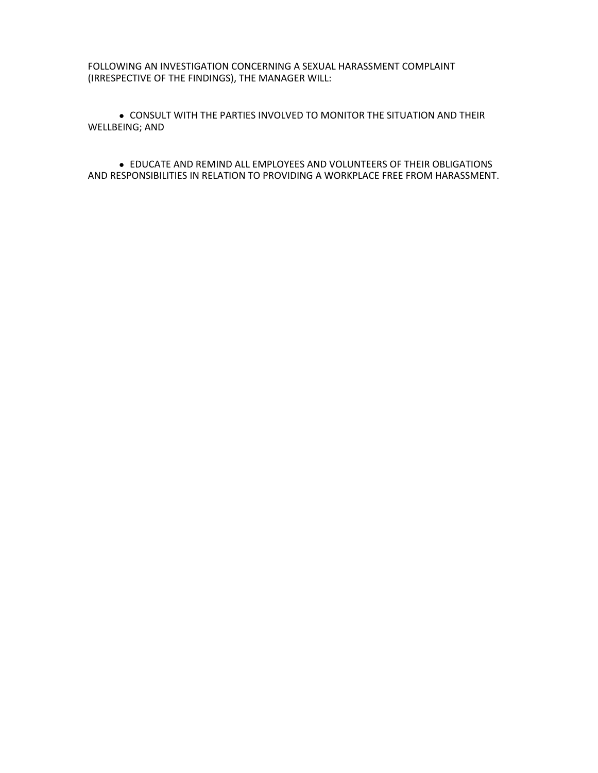FOLLOWING AN INVESTIGATION CONCERNING A SEXUAL HARASSMENT COMPLAINT (IRRESPECTIVE OF THE FINDINGS), THE MANAGER WILL:

 CONSULT WITH THE PARTIES INVOLVED TO MONITOR THE SITUATION AND THEIR WELLBEING; AND

 EDUCATE AND REMIND ALL EMPLOYEES AND VOLUNTEERS OF THEIR OBLIGATIONS AND RESPONSIBILITIES IN RELATION TO PROVIDING A WORKPLACE FREE FROM HARASSMENT.